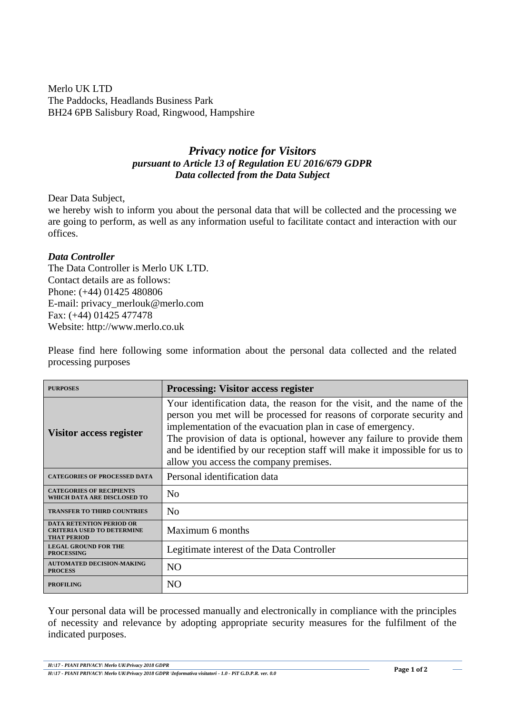Merlo UK LTD The Paddocks, Headlands Business Park BH24 6PB Salisbury Road, Ringwood, Hampshire

## *Privacy notice for Visitors pursuant to Article 13 of Regulation EU 2016/679 GDPR Data collected from the Data Subject*

Dear Data Subject,

we hereby wish to inform you about the personal data that will be collected and the processing we are going to perform, as well as any information useful to facilitate contact and interaction with our offices.

## *Data Controller*

The Data Controller is Merlo UK LTD. Contact details are as follows: Phone: (+44) 01425 480806 E-mail: privacy\_merlouk@merlo.com Fax: (+44) 01425 477478 Website: http://www.merlo.co.uk

Please find here following some information about the personal data collected and the related processing purposes

| <b>PURPOSES</b>                                                                            | <b>Processing: Visitor access register</b>                                                                                                                                                                                                                                                                                                                                                                         |
|--------------------------------------------------------------------------------------------|--------------------------------------------------------------------------------------------------------------------------------------------------------------------------------------------------------------------------------------------------------------------------------------------------------------------------------------------------------------------------------------------------------------------|
| Visitor access register                                                                    | Your identification data, the reason for the visit, and the name of the<br>person you met will be processed for reasons of corporate security and<br>implementation of the evacuation plan in case of emergency.<br>The provision of data is optional, however any failure to provide them<br>and be identified by our reception staff will make it impossible for us to<br>allow you access the company premises. |
| <b>CATEGORIES OF PROCESSED DATA</b>                                                        | Personal identification data                                                                                                                                                                                                                                                                                                                                                                                       |
| <b>CATEGORIES OF RECIPIENTS</b><br>WHICH DATA ARE DISCLOSED TO                             | N <sub>0</sub>                                                                                                                                                                                                                                                                                                                                                                                                     |
| <b>TRANSFER TO THIRD COUNTRIES</b>                                                         | N <sub>0</sub>                                                                                                                                                                                                                                                                                                                                                                                                     |
| <b>DATA RETENTION PERIOD OR</b><br><b>CRITERIA USED TO DETERMINE</b><br><b>THAT PERIOD</b> | Maximum 6 months                                                                                                                                                                                                                                                                                                                                                                                                   |
| <b>LEGAL GROUND FOR THE</b><br><b>PROCESSING</b>                                           | Legitimate interest of the Data Controller                                                                                                                                                                                                                                                                                                                                                                         |
| <b>AUTOMATED DECISION-MAKING</b><br><b>PROCESS</b>                                         | N <sub>O</sub>                                                                                                                                                                                                                                                                                                                                                                                                     |
| <b>PROFILING</b>                                                                           | NO                                                                                                                                                                                                                                                                                                                                                                                                                 |

Your personal data will be processed manually and electronically in compliance with the principles of necessity and relevance by adopting appropriate security measures for the fulfilment of the indicated purposes.

*H:\17 - PIANI PRIVACY\ Merlo UK\Privacy 2018 GDPR H:\17 - PIANI PRIVACY\ Merlo UK\Privacy 2018 GDPR \Informativa visitatori - 1.0 - PiT G.D.P.R. ver. 0.0*